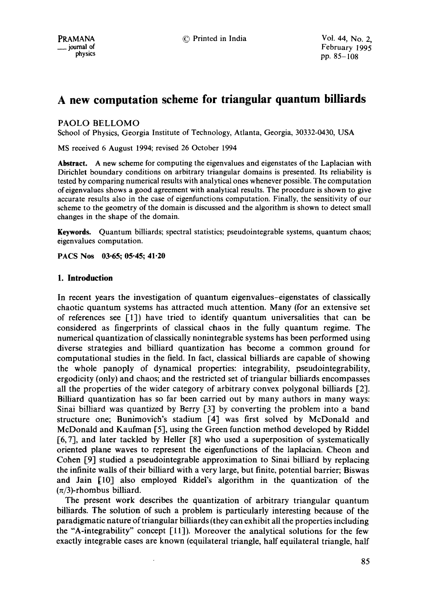PRAMANA © Printed in India Vol. 44, No. 2,  $_{\text{p}}$  and of February 1995<br>  $_{\text{p}}$   $_{\text{p}}$   $_{\text{p}}$   $_{\text{p}}$   $_{\text{p}}$   $_{\text{p}}$   $_{\text{p}}$   $_{\text{p}}$   $_{\text{p}}$   $_{\text{p}}$   $_{\text{p}}$   $_{\text{p}}$   $_{\text{p}}$   $_{\text{p}}$   $_{\text{p}}$   $_{\text{p}}$   $_{\text{p}}$   $_{\text{p}}$   $_{\text{p}}$   $_{\text{p}}$   $_{\text{p}}$  pp. 85-108

# **A new computation scheme for triangular quantum billiards**

# PAOLO BELLOMO

School of Physics, Georgia Institute of Technology, Atlanta, Georgia, 30332-0430, USA

MS received 6 August 1994; revised 26 October 1994

**Abstract.** A new scheme for computing the eigenvalues and eigenstates of the Laplacian with Dirichlet boundary conditions on arbitrary triangular domains is presented. Its reliability is tested by comparing numerical results with analytical ones whenever possible. The computation of eigenvalues shows a good agreement with analytical results. The procedure is shown to give accurate results also in the case of eigenfunctions computation. Finally, the sensitivity of our scheme to the geometry of the domain is discussed and the algorithm is shown to detect small changes in the shape of the domain.

**Keywords.** Quantum billiards; spectral statistics; pseudointegrable systems, quantum chaos; eigenvalues computation.

**PACS Nos 03.65; 05-45; 41.20** 

# **1. Introduction**

In recent years the investigation of quantum eigenvalues-eigenstates of classically chaotic quantum systems has attracted much attention. Many (for an extensive set of references see  $[1]$ ) have tried to identify quantum universalities that can be considered as fingerprints of classical chaos in the fully quantum regime. The numerical quantization of classically nonintegrable systems has been performed using diverse strategies and billiard quantization has become a common ground for computational studies in the field. In fact, classical billiards are capable of showing the whole panoply of dynamical properties: integrability, pseudointegrability, ergodicity (only) and chaos; and the restricted set of triangular billiards encompasses all the properties of the wider category of arbitrary convex polygonal billiards [2]. Billiard quantization has so far been carried out by many authors in many ways: Sinai billiard was quantized by Berry [3] by converting the problem into a band structure one; Bunimovich's stadium [4] was first solved by McDonald and McDonald and Kaufman [5], using the Green function method developed by Riddel  $[6, 7]$ , and later tackled by Heller  $[8]$  who used a superposition of systematically oriented plane waves to represent the eigenfunctions of the laplacian. Cheon and Cohen [9] studied a pseudointegrable approximation to Sinai billiard by replacing the infinite wails of their billiard with a very large, but finite, potential barrier; Biswas and Jain [10] also employed Riddel's algorithm in the quantization of the  $(\pi/3)$ -rhombus billiard.

The present work describes the quantization of arbitrary triangular quantum billiards. The solution of such a problem is particularly interesting because of the paradigmatic nature of triangular billiards (they can exhibit all the properties including the "A-integrability" concept  $[11]$ ). Moreover the analytical solutions for the few exactly integrable cases are known (equilateral triangle, half equilateral triangle, half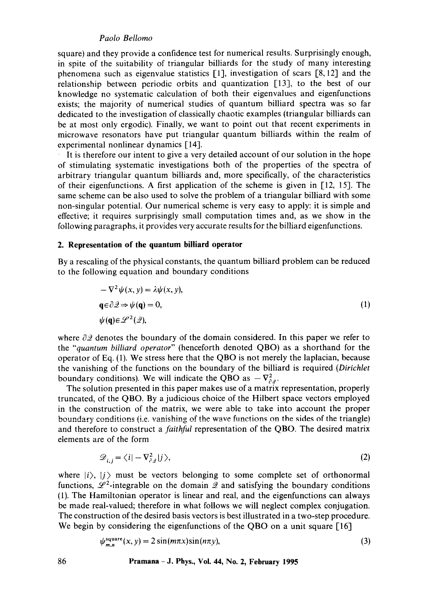square) and they provide a confidence test for numerical results. Surprisingly enough, in spite of the suitability of triangular billiards for the study of many interesting phenomena such as eigenvalue statistics [1], investigation of scars [8, 12] and the relationship between periodic orbits and quantization [13], to the best of our knowledge no systematic calculation of both their eigenvalues and eigenfunctions exists; the majority of numerical studies of quantum billiard spectra was so far dedicated to the investigation of classically chaotic examples (triangular billiards can be at most only ergodic). Finally, we want to point out that recent experiments in microwave resonators have put triangular quantum billiards within the realm of experimental nonlinear dynamics [14].

It is therefore our intent to give a very detailed account of our solution in the hope of stimulating systematic investigations both of the properties of the spectra of arbitrary triangular quantum billiards and, more specifically, of the characteristics of their eigenfunctions. A first application of the scheme is given in [12, 15]. The same scheme can be also used to solve the problem of a triangular billiard with some non-singular potential. Our numerical scheme is very easy to apply: it is simple and effective; it requires surprisingly small computation times and, as we show in the following paragraphs, it provides very accurate results for the billiard eigenfunctions.

#### **2. Representation of the quantum billiard operator**

By a rescaling of the physical constants, the quantum billiard problem can be reduced to the following equation and boundary conditions

$$
-\nabla^2 \psi(x, y) = \lambda \psi(x, y),
$$
  
\n
$$
\mathbf{q} \in \partial \mathcal{Q} \Rightarrow \psi(\mathbf{q}) = 0,
$$
  
\n
$$
\psi(\mathbf{q}) \in \mathcal{L}^2(\mathcal{Q}),
$$
\n(1)

where  $\partial \mathcal{Q}$  denotes the boundary of the domain considered. In this paper we refer to the *"quantum billiard operator"* (henceforth denoted QBO) as a shorthand for the operator of Eq. (1). We stress here that the QBO is not merely the laplacian, because the vanishing of the functions on the boundary of the billiard is required *(Dirichlet*  boundary conditions). We will indicate the QBO as  $-\nabla^2_{\theta}$ .

The solution presented in this paper makes use of a matrix representation, properly truncated, of the QBO. By a judicious choice of the Hilbert space vectors employed in the construction of the matrix, we were able to take into account the proper boundary conditions (i.e. vanishing of the wave functions on the sides of the triangle) and therefore to construct a *faithful* representation of the QBO. The desired matrix elements are of the form

$$
\mathcal{D}_{i,j} = \langle i | -\nabla_{\partial \varphi}^2 | j \rangle,\tag{2}
$$

where  $|i\rangle$ ,  $|j\rangle$  must be vectors belonging to some complete set of orthonormal functions,  $\mathscr{L}^2$ -integrable on the domain  $\mathscr{L}$  and satisfying the boundary conditions (1). The Hamiltonian operator is linear and real, and the eigenfunctions can always be made real-valued; therefore in what follows we will neglect complex conjugation. The construction of the desired basis vectors is best illustrated in a two-step procedure. We begin by considering the eigenfunctions of the QBO on a unit square [16]

$$
\psi_{m,n}^{\text{square}}(x, y) = 2\sin(m\pi x)\sin(n\pi y),\tag{3}
$$

**86 Pramana - J. Phys., Vol. 44, No. 2, February 1995**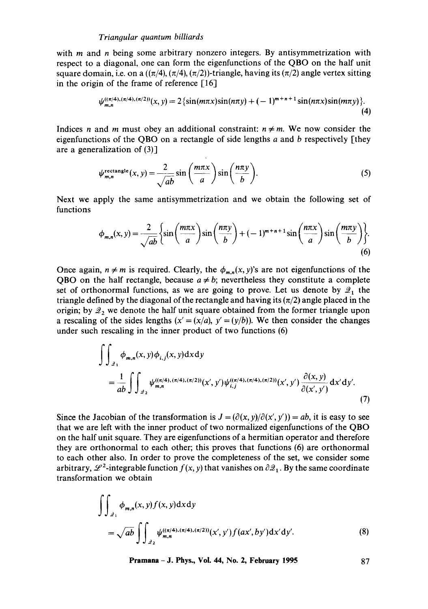with  $m$  and  $n$  being some arbitrary nonzero integers. By antisymmetrization with respect to a diagonal, one can form the eigenfunctions of the QBO on the half unit square domain, i.e. on a  $((\pi/4), (\pi/4), (\pi/2))$ -triangle, having its  $(\pi/2)$  angle vertex sitting in the origin of the frame of reference [16]

$$
\psi_{m,n}^{((\pi/4),(\pi/4),(\pi/2))}(x,y) = 2\{\sin(m\pi x)\sin(n\pi y) + (-1)^{m+n+1}\sin(n\pi x)\sin(m\pi y)\}.
$$
\n(4)

Indices *n* and *m* must obey an additional constraint:  $n \neq m$ . We now consider the eigenfunctions of the QBO on a rectangle of side lengths  $a$  and  $b$  respectively [they are a generalization of (3)]

$$
\psi_{m,n}^{\text{rectangle}}(x,y) = \frac{2}{\sqrt{ab}} \sin\left(\frac{m\pi x}{a}\right) \sin\left(\frac{n\pi y}{b}\right). \tag{5}
$$

Next we apply the same antisymmetrization and we obtain the following set of functions

$$
\phi_{m,n}(x,y) = \frac{2}{\sqrt{ab}} \left\{ \sin\left(\frac{m\pi x}{a}\right) \sin\left(\frac{n\pi y}{b}\right) + (-1)^{m+n+1} \sin\left(\frac{n\pi x}{a}\right) \sin\left(\frac{m\pi y}{b}\right) \right\}.
$$
\n(6)

Once again,  $n \neq m$  is required. Clearly, the  $\phi_{m,n}(x, y)$ 's are not eigenfunctions of the QBO on the half rectangle, because  $a \neq b$ ; nevertheless they constitute a complete set of orthonormal functions, as we are going to prove. Let us denote by  $\mathcal{Q}_1$  the triangle defined by the diagonal of the rectangle and having its  $(\pi/2)$  angle placed in the origin; by  $2<sub>2</sub>$  we denote the half unit square obtained from the former triangle upon a rescaling of the sides lengths  $(x' = (x/a), y' = (y/b))$ . We then consider the changes under such rescaling in the inner product of two functions (6)

$$
\int\int_{2_1} \phi_{m,n}(x,y)\phi_{i,j}(x,y) dxdy
$$
\n
$$
= \frac{1}{ab} \int\int_{2_2} \psi_{m,n}^{((\pi/4),(\pi/4),(\pi/2))}(x',y')\psi_{i,j}^{((\pi/4),(\pi/4),(\pi/2))}(x',y') \frac{\partial(x,y)}{\partial(x',y')} dx'dy'.
$$
\n(7)

Since the Jacobian of the transformation is  $J = (\partial(x, y)/\partial(x', y')) = ab$ , it is easy to see that we are left with the inner product of two normalized eigenfunctions of the QBO on the half unit square. They are eigenfunctions of a hermitian operator and therefore they are orthonormal to each other; this proves that functions (6) are orthonormal to each other also. In order to prove the completeness of the set, we consider some arbitrary,  $\mathscr{L}^2$ -integrable function  $f(x, y)$  that vanishes on  $\partial \mathscr{L}_1$ . By the same coordinate transformation we obtain

$$
\iint_{2_1} \phi_{m,n}(x, y) f(x, y) dx dy
$$
  
=  $\sqrt{ab} \iint_{2_2} \psi_{m,n}^{((\pi/4), (\pi/2), (\pi/2))}(x', y') f(ax', by') dx' dy'.$  (8)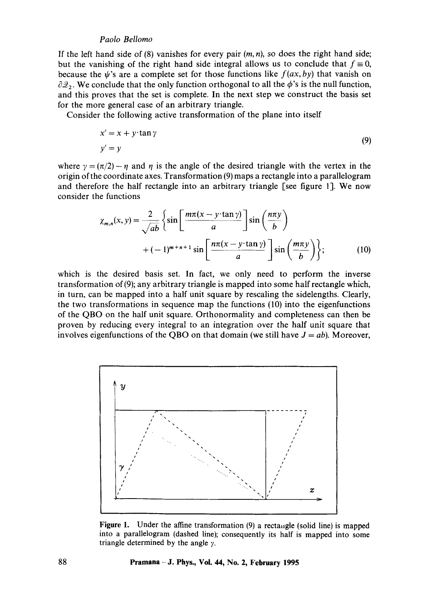If the left hand side of  $(8)$  vanishes for every pair  $(m, n)$ , so does the right hand side; but the vanishing of the right hand side integral allows us to conclude that  $f \equiv 0$ , because the  $\psi$ 's are a complete set for those functions like  $f(ax, by)$  that vanish on  $\partial \mathcal{Q}_2$ . We conclude that the only function orthogonal to all the  $\phi$ 's is the null function, and this proves that the set is complete. In the next step we construct the basis set for the more general case of an arbitrary triangle.

Consider the following active transformation of the plane into itself

$$
x' = x + y \cdot \tan \gamma
$$
  
y' = y (9)

where  $\gamma = (\pi/2) - \eta$  and  $\eta$  is the angle of the desired triangle with the vertex in the origin of the coordinate axes. Transformation (9) maps a rectangle into a parallelogram and therefore the half rectangle into an arbitrary triangle [see figure 1]. We now consider the functions

$$
\chi_{m,n}(x, y) = \frac{2}{\sqrt{ab}} \left\{ \sin \left[ \frac{m\pi (x - y \cdot \tan \gamma)}{a} \right] \sin \left( \frac{n\pi y}{b} \right) + (-1)^{m+n+1} \sin \left[ \frac{n\pi (x - y \cdot \tan \gamma)}{a} \right] \sin \left( \frac{m\pi y}{b} \right) \right\};
$$
(10)

which is the desired basis set. In fact, we only need to perform the inverse transformation of(9); any arbitrary triangle is mapped into some half rectangle which, in turn, can be mapped into a half unit square by rescaling the sidelengths. Clearly, the two transformations in sequence map the functions (10) into the eigenfunctions of the QBO on the half unit square. Orthonormality and completeness can then be proven by reducing every integral to an integration over the half unit square that involves eigenfunctions of the QBO on that domain (we still have  $J = ab$ ). Moreover,



Figure 1. Under the affine transformation (9) a rectaugle (solid line) is mapped into a parallelogram (dashed line); consequently its half is mapped into some triangle determined by the angle  $\gamma$ .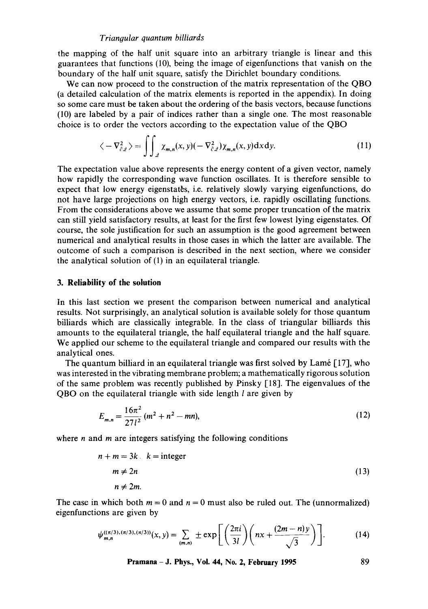the mapping of the half unit square into an arbitrary triangle is linear and this guarantees that functions (10), being the image of eigenfunctions that vanish on the boundary of the half unit square, satisfy the Dirichlet boundary conditions.

We can now proceed to the construction of the matrix representation of the QBO (a detailed calculation of the matrix elements is reported in the appendix). In doing so some care must be taken about the ordering of the basis vectors, because functions (10) are labeled by a pair of indices rather than a single one. The most reasonable choice is to order the vectors according to the expectation value of the QBO

$$
\langle -\nabla_{\partial z}^2 \rangle = \iint_{\mathcal{Q}} \chi_{m,n}(x,y) (-\nabla_{\partial z}^2) \chi_{m,n}(x,y) \, dx \, dy. \tag{11}
$$

The expectation value above represents the energy content of a given vector, namely how rapidly the corresponding wave function oscillates. It is therefore sensible to expect that low energy eigenstates, i.e. relatively slowly varying eigenfunctions, do not have large projections on high energy vectors, i.e. rapidly oscillating functions. From the considerations above we assume that some proper truncation of the matrix can still yield satisfactory results, at least for the first few lowest lying eigenstates. Of course, the sole justification for such an assumption is the good agreement between numerical and analytical results in those cases in which the latter are available. The outcome of such a comparison is described in the next section, where we consider the analytical solution of (1) in an equilateral triangle.

# **3. Reliability of the solution**

In this last section we present the comparison between numerical and analytical results. Not surprisingly, an analytical solution is available solely for those quantum billiards which are classically integrable. In the class of triangular billiards this amounts to the equilateral triangle, the half equilateral triangle and the half square. We applied our scheme to the equilateral triangle and compared our results with the analytical ones.

The quantum billiard in an equilateral triangle was first solved by Lamé  $[17]$ , who was interested in the vibrating membrane problem; a mathematically rigorous solution of the same problem was recently published by Pinsky [18]. The eigenvalues of the QBO on the equilateral triangle with side length l are given by

$$
E_{m,n} = \frac{16\pi^2}{27l^2} (m^2 + n^2 - mn),
$$
 (12)

where  $n$  and  $m$  are integers satisfying the following conditions

$$
n + m = 3k. \quad k = \text{integer}
$$
  
\n
$$
m \neq 2n
$$
  
\n
$$
n \neq 2m.
$$
  
\n(13)

The case in which both  $m = 0$  and  $n = 0$  must also be ruled out. The (unnormalized) eigenfunctions are given by

$$
\psi_{m,n}^{((\pi/3),(\pi/3),(\pi/3))}(x,y) = \sum_{(m,n)} \pm \exp\left[\left(\frac{2\pi i}{3l}\right)\left(nx+\frac{(2m-n)y}{\sqrt{3}}\right)\right].
$$
 (14)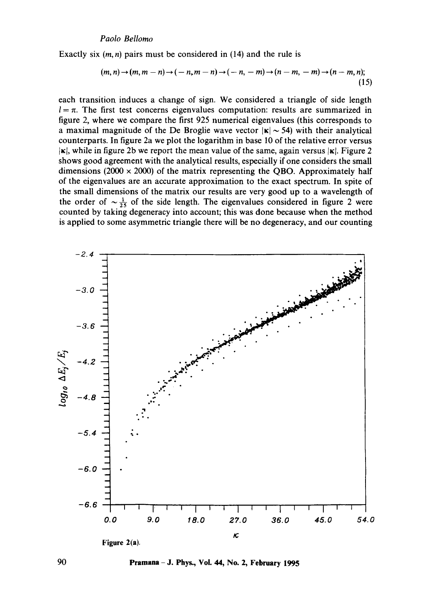**Exactly six** (m, n) **pairs must be considered in (14) and the rule is** 

$$
(m, n) \to (m, m - n) \to (-n, m - n) \to (-n, -m) \to (n - m, -m) \to (n - m, n);
$$
\n(15)

**each transition induces a change of sign. We considered a triangle of side length**   $l = \pi$ . The first test concerns eigenvalues computation: results are summarized in **figure 2, where we compare the first 925 numerical eigenvalues (this corresponds to**  a maximal magnitude of the De Broglie wave vector  $|\kappa| \sim 54$ ) with their analytical **counterparts. In figure 2a we plot the logarithm in base 10 of the relative error versus**   $|\kappa|$ , while in figure 2b we report the mean value of the same, again versus  $|\kappa|$ . Figure 2 **shows good agreement with the analytical results, especially if one considers the small**  dimensions ( $2000 \times 2000$ ) of the matrix representing the QBO. Approximately half **of the eigenvalues are an accurate approximation to the exact spectrum. In spite of the small dimensions of the matrix our results are very good up to a wavelength of**  the order of  $\sim \frac{1}{25}$  of the side length. The eigenvalues considered in figure 2 were **counted by taking degeneracy into account; this was done because when the method is applied to some asymmetric triangle there will be no degeneracy, and our counting** 



**90 Pramana- J. Phys., Vol. 44, No. 2, February 1995**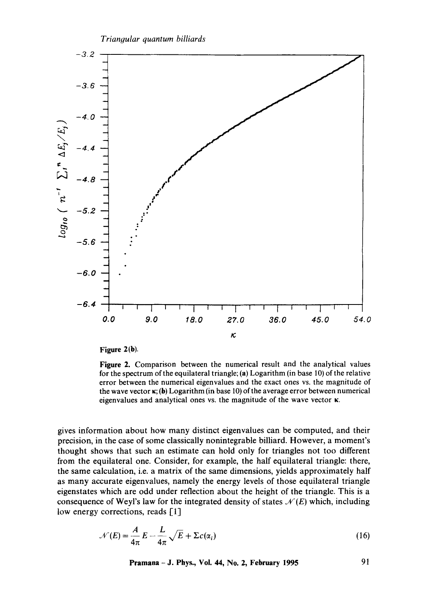

**Figure 2(b).** 

**Figure** 2. Comparison between the numerical result and the analytical values for the spectrum of the equilateral triangle; (a) Logarithm (in base 10) of the relative error between the numerical eigenvalues and the exact ones vs. the magnitude of the wave vector  $\kappa$ ; (b) Logarithm (in base 10) of the average error between numerical eigenvalues and analytical ones vs. the magnitude of the wave vector K.

gives information about how many distinct eigenvalues can be computed, and their precision, in the case of some classically nonintegrable billiard. However, a moment's thought shows that such an estimate can hold only for triangles not too different from the equilateral one. Consider, for example, the half equilateral triangle: there, the same calculation, i.e. a matrix of the same dimensions, yields approximately half as many accurate eigenvalues, namely the energy levels of those equilateral triangle eigenstates which are odd under reflection about the height of the triangle. This is a consequence of Weyl's law for the integrated density of states  $\mathcal{N}(E)$  which, including low energy corrections, reads [1]

$$
\mathcal{N}(E) = \frac{A}{4\pi} E - \frac{L}{4\pi} \sqrt{E} + \Sigma c(\alpha_i)
$$
 (16)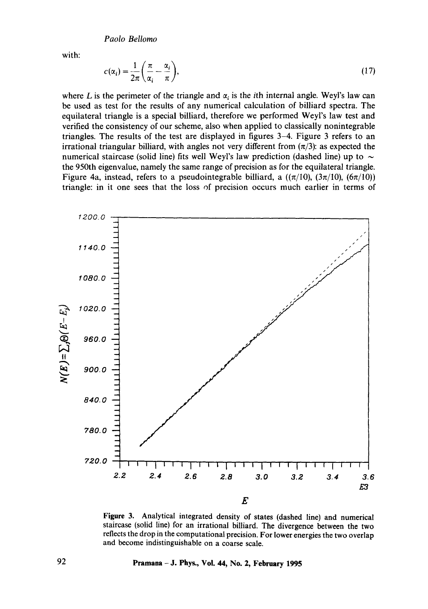with:

$$
c(\alpha_i) = \frac{1}{2\pi} \left( \frac{\pi}{\alpha_i} - \frac{\alpha_i}{\pi} \right),\tag{17}
$$

where L is the perimeter of the triangle and  $\alpha_i$  is the *i*th internal angle. Weyl's law can be used as test for the results of any numerical calculation of billiard spectra. The equilateral triangle is a special billiard, therefore we performed Weyl's law test and verified the consistency of our scheme, also when applied to classically nonintegrable triangles. The results of the test are displayed in figures 3-4. Figure 3 refers to an irrational triangular billiard, with angles not very different from  $(\pi/3)$ : as expected the numerical staircase (solid line) fits well Weyl's law prediction (dashed line) up to  $\sim$ the 950th eigenvalue, namely the same range of precision as for the equilateral triangle. Figure 4a, instead, refers to a pseudointegrable billiard, a  $((\pi/10), (3\pi/10), (6\pi/10))$ triangle: in it one sees that the loss of precision occurs much earlier in terms of



**Figure 3. Analytical integrated density of states (dashed line) and numerical staircase (solid line) for an irrational billiard. The divergence between the two reflects the drop in the computational precision. For lower energies the two overlap and become indistinguishable on a coarse scale.**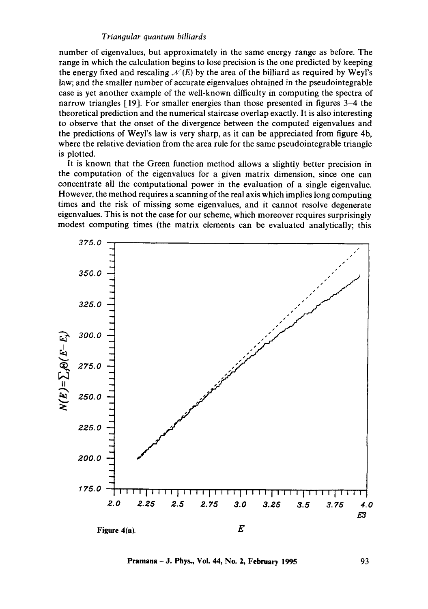**number of eigenvalues, but approximately in the same energy range as before. The range in which the calculation begins to lose precision is the one predicted by keeping**  the energy fixed and rescaling  $\mathcal{N}(E)$  by the area of the billiard as required by Weyl's **law; and the smaller number of accurate eigenvalues obtained in the pseudointegrable case is yet another example of the well-known difficulty in computing the spectra of narrow triangles [19]. For smaller energies than those presented in figures 3–4 the theoretical prediction and the numerical staircase overlap exactly. It is also interesting to observe that the onset of the divergence between the computed eigenvalues and**  the predictions of Weyl's law is very sharp, as it can be appreciated from figure 4b, **where the relative deviation from the area rule for the same pseudointegrable triangle is plotted.** 

**It is known that the Green function method allows a slightly better precision in the computation of the eigenvalues for a given matrix dimension, since one can concentrate all the computational power in the evaluation of a single eigenvalue. However, the method requires a scanning of the real axis which implies long computing times and the risk of missing some eigenvalues, and it cannot resolve degenerate eigenvalues. This is not the case for our scheme, which moreover requires surprisingly modest computing times (the matrix elements can be evaluated analytically; this** 



**Pramana - J. Phys., Vol. 44, No. 2, February 1995** 93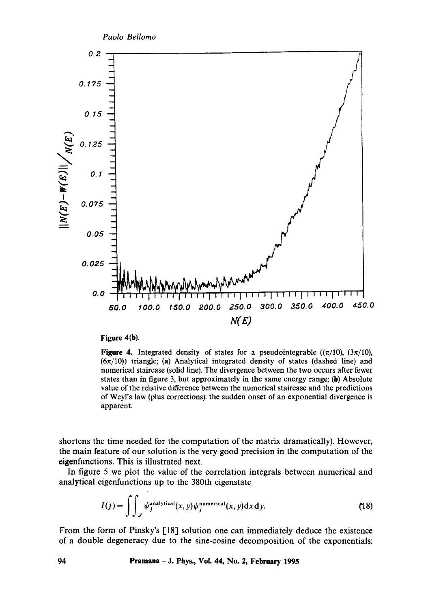

#### **Figure 4(b).**

Figure 4. Integrated density of states for a pseudointegrable  $((\pi/10), (3\pi/10),$  $(6\pi/10)$ ) triangle; (a) Analytical integrated density of states (dashed line) and numerical staircase (solid line). The divergence between the two occurs after fewer states than in figure 3, but approximately in the same energy range; (b) Absolute value of the relative difference between the numerical staircase and the predictions of Weyl's law (plus corrections): the sudden onset of an exponential divergence is apparent.

shortens the time needed for the computation of the matrix dramatically). However, the main feature of our solution is the very good precision in the computation of the eigenfunctions. This is illustrated next.

In figure 5 we plot the value of the correlation integrals between numerical and analytical eigenfunctions up to the 380th eigenstate

$$
I(j) = \int\int_{\mathcal{Z}} \psi_j^{\text{analytical}}(x, y)\psi_j^{\text{numerical}}(x, y)\mathrm{d}x\mathrm{d}y. \tag{18}
$$

From the form of Pinsky's [18] solution one can immediately deduce the existence of a double degeneracy due to the sine-cosine decomposition of the exponentials: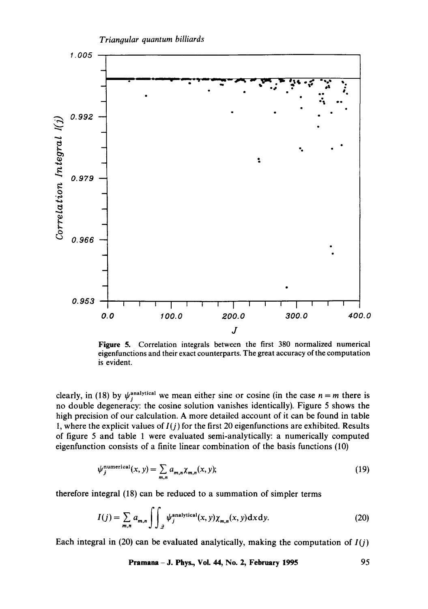

**Figure** 5. Correlation integrals between the first 380 normalized numerical eigenfunctions and their exact counterparts. The great accuracy of the computation is evident.

clearly, in (18) by  $\psi_i^{\text{analytical}}$  we mean either sine or cosine (in the case  $n = m$  there is no double degeneracy: the cosine solution vanishes identically). Figure 5 shows the high precision of our calculation. A more detailed account of it can be found in table I, where the explicit values of *l(j)* for the first 20 eigenfunctions are exhibited. Results of figure 5 and table 1 were evaluated semi-analytically: a numerically computed eigenfunction consists of a finite linear combination of the basis functions (10)

$$
\psi_j^{\text{numerical}}(x, y) = \sum_{m,n} a_{m,n} \chi_{m,n}(x, y); \tag{19}
$$

therefore integral (18) can be reduced to a summation of simpler terms

$$
I(j) = \sum_{m,n} a_{m,n} \int \int_{\mathcal{Q}} \psi_j^{\text{analytical}}(x, y) \chi_{m,n}(x, y) \, dx \, dy. \tag{20}
$$

Each integral in (20) can be evaluated analytically, making the computation of  $I(j)$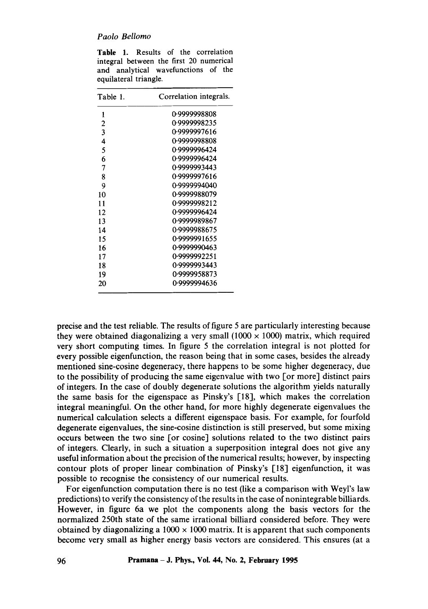|                                         |  | <b>Table 1.</b> Results of the correlation |  |  |  |  |  |  |  |
|-----------------------------------------|--|--------------------------------------------|--|--|--|--|--|--|--|
| integral between the first 20 numerical |  |                                            |  |  |  |  |  |  |  |
|                                         |  | and analytical wavefunctions of the        |  |  |  |  |  |  |  |
| equilateral triangle.                   |  |                                            |  |  |  |  |  |  |  |

| Table 1.       | Correlation integrals. |  |  |  |  |
|----------------|------------------------|--|--|--|--|
| 1              | 0.9999998808           |  |  |  |  |
| $\overline{c}$ | 0.9999998235           |  |  |  |  |
| 3              | 0.9999997616           |  |  |  |  |
| 4              | 0-9999998808           |  |  |  |  |
| 5              | 0.9999996424           |  |  |  |  |
| 6              | 0.9999996424           |  |  |  |  |
| 7              | 0.9999993443           |  |  |  |  |
| 8              | 0.9999997616           |  |  |  |  |
| 9              | 0-9999994040           |  |  |  |  |
| 10             | 0.9999988079           |  |  |  |  |
| 11             | 0.9999998212           |  |  |  |  |
| 12             | 0.9999996424           |  |  |  |  |
| 13             | 0.9999989867           |  |  |  |  |
| 14             | 0.9999988675           |  |  |  |  |
| 15             | 0.9999991655           |  |  |  |  |
| 16             | 0.9999990463           |  |  |  |  |
| 17             | 0.9999992251           |  |  |  |  |
| 18             | 0.9999993443           |  |  |  |  |
| 19             | 0.9999958873           |  |  |  |  |
| 20             | 0-9999994636           |  |  |  |  |

precise and the test reliable. The results of figure 5 are particularly interesting because they were obtained diagonalizing a very small  $(1000 \times 1000)$  matrix, which required very short computing times. In figure 5 the correlation integral is not plotted for every possible eigenfunction, the reason being that in some cases, besides the already mentioned sine-cosine degeneracy, there happens to be some higher degeneracy, due to the possibility of producing the same eigenvalue with two [or more] distinct pairs of integers. In the case of doubly degenerate solutions the algorithm yields naturally the same basis for the eigenspace as Pinsky's [18], which makes the correlation integral meaningful. On the other hand, for more highly degenerate eigenvalues the numerical calculation selects a different eigenspace basis. For example, for fourfold degenerate eigenvalues, the sine-cosine distinction is still preserved, but some mixing occurs between the two sine [or cosine] solutions related to the two distinct pairs of integers. Clearly, in such a situation a superposition integral does not give any useful information about the precision of the numerical results; however, by inspecting contour plots of proper linear combination of Pinsky's [18] eigenfunction, it was possible to recognise the consistency of our numerical results.

For eigenfunction computation there is no test (like a comparison with Weyl's law predictions) to verify the consistency of the results in the case of nonintegrable billiards. However, in figure 6a we plot the components along the basis vectors for the normalized 250th state of the same irrational billiard considered before. They were obtained by diagonalizing a  $1000 \times 1000$  matrix. It is apparent that such components become very small as higher energy basis vectors are considered. This ensures (at a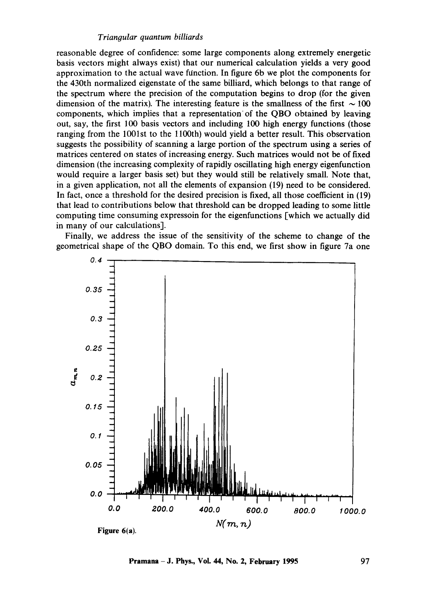reasonable degree of confidence: some large components along extremely energetic basis vectors might always exist) that our numerical calculation yields a very good approximation to the actual wave function. In figure 6b we plot the components for the 430th normalized eigenstate of the same billiard, which belongs to that range of the spectrum where the precision of the computation begins to drop (for the given dimension of the matrix). The interesting feature is the smallness of the first  $\sim 100$ components, which implies that a representation of the QBO obtained by leaving out, say, the first 100 basis vectors and including 100 high energy functions (those ranging from the 1001st to the 1100th) would yield a better result. This observation suggests the possibility of scanning a large portion of the spectrum using a series of matrices centered on states of increasing energy. Such matrices would not be of fixed dimension (the increasing complexity of rapidly oscillating high energy eigenfunction would require a larger basis set) but they would still be relatively small. Note that, in a given application, not all the elements of expansion (19) need to be considered. In fact, once a threshold for the desired precision is fixed, all those coefficient in (19) that lead to contributions below that threshold can be dropped leading to some little computing time consuming expressoin for the eigenfunctions [which we actually did in many of our calculations].

Finally, we address the issue of the sensitivity of the scheme to change of the geometrical shape of the QBO domain. To this end, we first show in figure 7a one



**Pramana – J. Phys., Vol. 44, No. 2, February 1995** 97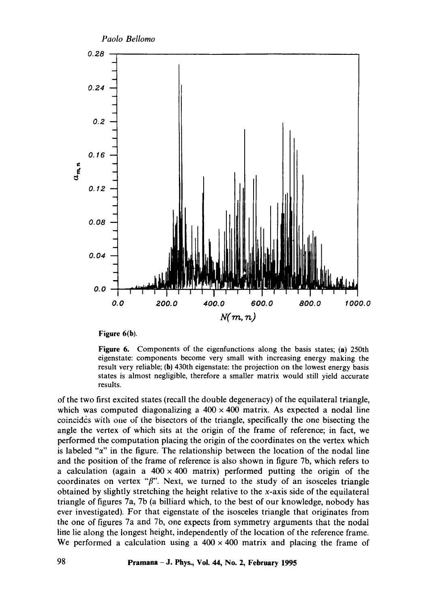

**Figure 6(b).** 

**Figure** 6. Components of the eigenfunctions along the basis states; (a) 250th eigenstate: components become very small with increasing energy making the result very reliable; (h) 430th eigenstate: the projection on the lowest energy basis states is almost negligible, therefore a smaller matrix would still yield accurate results.

of the two first excited states (recall the double degeneracy) of the equilateral triangle, which was computed diagonalizing a  $400 \times 400$  matrix. As expected a nodal line coincides with one of the bisectors of the triangle, specifically the one bisecting the angle the vertex of which sits at the origin of the frame of reference; in fact, we performed the computation placing the origin of the coordinates on the vertex which is labeled " $\alpha$ " in the figure. The relationship between the location of the nodal line and the position of the frame of reference is also shown in figure 7b, which refers to a calculation (again a  $400 \times 400$  matrix) performed putting the origin of the coordinates on vertex " $\beta$ ". Next, we turned to the study of an isosceles triangle obtained by slightly stretching the height relative to the x-axis side of the equilateral triangle of figures 7a, 7b (a billiard which, to the best of our knowledge, nobody has ever investigated). For that eigenstate of the isosceles triangle that originates from the one of figures 7a and 7b, one expects from symmetry arguments that the nodal line lie along the longest height, independently of the location of the reference frame. We performed a calculation using a  $400 \times 400$  matrix and placing the frame of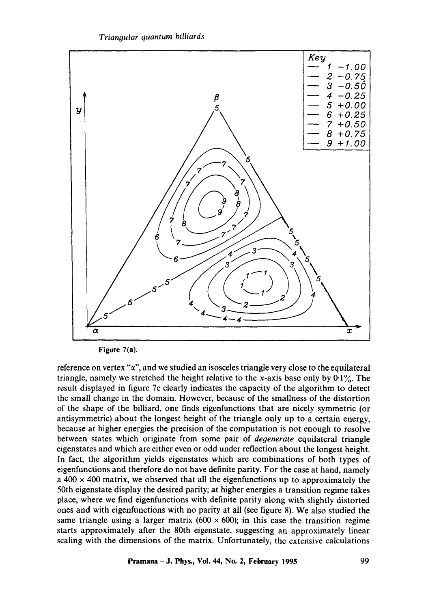



**Figure 7(a).** 

reference on vertex " $\alpha$ ", and we studied an isosceles triangle very close to the equilateral triangle, namely we stretched the height relative to the x-axis base only by  $0.1\%$ . The result displayed in figure 7c clearly indicates the capacity of the algorithm to detect the small change in the domain. However, because of the smallness of the distortion of the shape of the billiard, one finds eigenfunctions that are nicely symmetric (or antisymmetric) about the longest height of the triangle only up to a certain energy, because at higher energies the precision of the computation is not enough to resolve between states which originate from some pair of *degenerate* equilateral triangle eigenstates and which are either even or odd under reflection about the longest height. In fact, the algorithm yields eigenstates which are combinations of both types of eigenfunctions and therefore do not have definite parity. For the case at hand, namely  $a$  400  $\times$  400 matrix, we observed that all the eigenfunctions up to approximately the 50th eigenstate display the desired parity; at higher energies a transition regime takes place, where we find eigenfunctions with definite parity along with slightly distorted ones and with eigenfunctions with no parity at all (see figure 8). We also studied the same triangle using a larger matrix (600  $\times$  600); in this case the transition regime starts approximately after the 80th eigenstate, suggesting an approximately linear scaling with the dimensions of the matrix. Unfortunately, the extensive calculations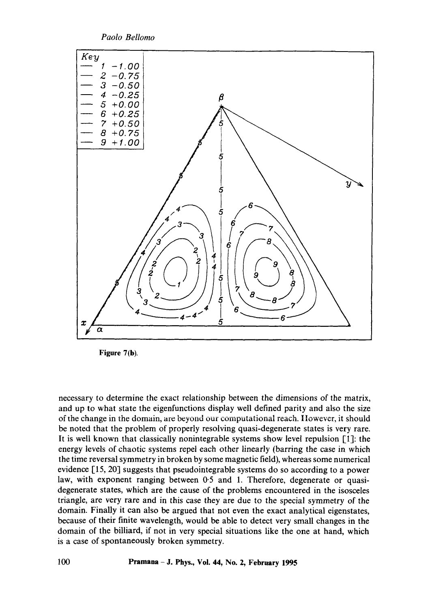

**Figure 7(b).** 

necessary to determine the exact relationship between the dimensions of the matrix, and up to what state the eigenfunctions display well defined parity and also the size of the change in the domain, are beyond our computational reach. However, it should be noted that the problem of properly resolving quasi-degenerate states is very rare. It is well known that classically nonintegrable systems show level repulsion [1]: the energy levels of chaotic systems repel each other linearly (barring the case in which the time reversal symmetry in broken by some magnetic field), whereas some numerical evidence [15, 20] suggests that pseudointegrable systems do so according to a power law, with exponent ranging between 0.5 and 1. Therefore, degenerate or quasidegenerate states, which are the cause of the problems encountered in the isosceles triangle, are very rare and in this case they are due to the special symmetry of the domain. Finally it can also be argued that not even the exact analytical eigenstates, because of their finite wavelength, would be able to detect very small changes in the domain of the billiard, if not in very special situations like the one at hand, which is a case of spontaneously broken symmetry.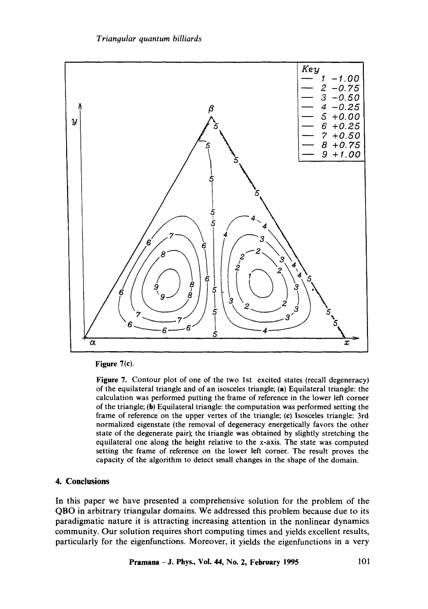

**Figure 7(c).** 

**Figure** 7. Contour plot of one of the two 1st excited states (recall degeneracy) of the equilateral triangle and of an isosceles triangle; (a) Equilateral triangle: the calculation was performed putting the frame of reference in the lower left corner of the triangle; (b) Equilateral triangle: the computation was performed setting the frame of reference on the upper vertex of the triangle; (c) Isosceles triangle: 3rd normalized eigenstate (the removal of degeneracy energetically favors the other state of the degenerate pair); the triangle was obtained by slightly stretching the equilateral one along the height relative to the x-axis. The state was computed setting the frame of reference on the lower left corner. The result proves the capacity of the algorithm to detect small changes in the shape of the domain.

# **4. Conclusions**

In this paper we have presented a comprehensive solution for the problem of the QBO in arbitrary triangular domains. We addressed this problem because due to its paradigmatic nature it is attracting increasing attention in the nonlinear dynamics community. Our solution requires short computing times and yields excellent results, particularly for the eigenfunctions. Moreover, it yields the eigenfunctions in a very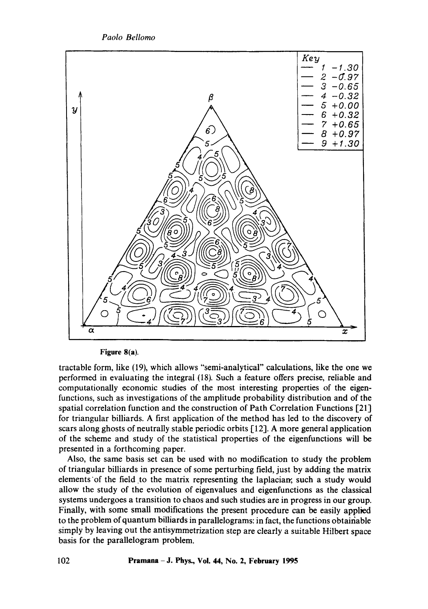*Paolo Bellomo* 



**Figure 8(a).** 

tractable form, like (19), which allows "semi-analytical" calculations, like the one we performed in evaluating the integral (18). Such a feature offers precise, reliable and computationally economic studies of the most interesting properties of the eigenfunctions, such as investigations of the amplitude probability distribution and of the spatial correlation function and the construction of Path Correlation Functions [21] for triangular billiards. A first application of the method has led to the discovery of scars along ghosts of neutrally stable periodic orbits [12]. A more general application of the scheme and study of the statistical properties of the eigenfunctions will be presented in a forthcoming paper.

Also, the same basis set can be used with no modification to study the problem of triangular billiards in presence of some perturbing field, just by adding the matrix elements of the field to the matrix representing the laplacian, such a study would allow the study of the evolution of eigenvalues and eigenfunctions as the classical systems undergoes a transition to chaos and such studies are in progress in our group. Finally, with some small modifications the present procedure can be easily applied to the problem of quantum billiards in parallelograms: in fact, the functions obtainable simply by leaving out the antisymmetrization step are clearly a suitable Hilbert space basis for the parallelogram problem.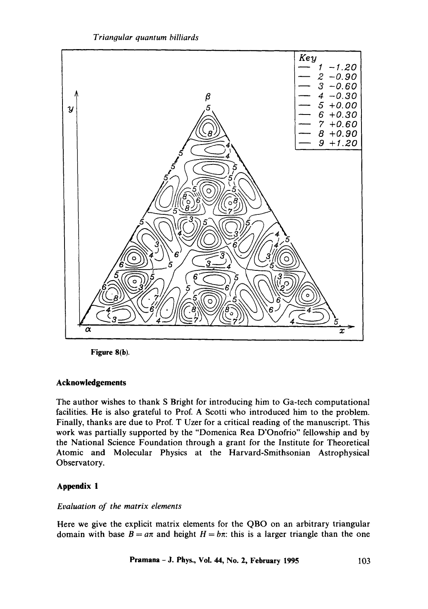*Triangular quantum billiards* 



**Figure 8(b).** 

# **Acknowledgements**

The author wishes to thank S Bright for introducing him to Ga-tech computational facilities. He is also grateful to Prof. A Scotti who introduced him to the problem. Finally, thanks are due to Prof. T Uzer for a critical reading of the manuscript. This work was partially supported by the "Domenica Rea D'Onofrio" fellowship and by the National Science Foundation through a grant for the Institute for Theoretical Atomic and Molecular Physics at the Harvard-Smithsonian Astrophysical Observatory.

# **Appendix 1**

## *Evaluation of the matrix elements*

Here we give the explicit matrix elements for the QBO on an arbitrary triangular domain with base  $B = a\pi$  and height  $H = b\pi$ : this is a larger triangle than the one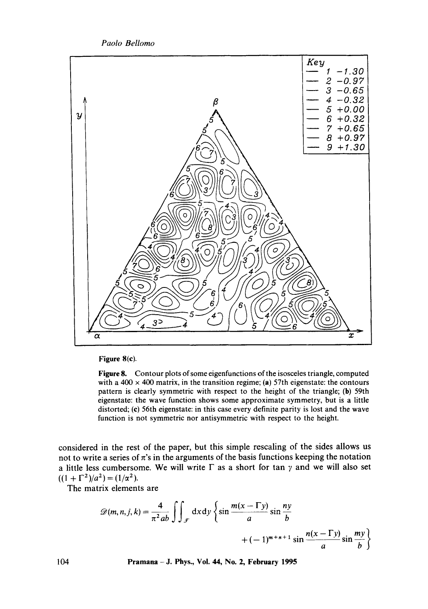

**Figure 8(c).** 

**Figure** 8. Contour plots of some eigenfunctions of the isosceles triangle, computed with a  $400 \times 400$  matrix, in the transition regime; (a) 57th eigenstate: the contours pattern is clearly symmetric with respect to the height of the triangle; (b) 59th eigenstate: the wave function shows some approximate symmetry, but is a little distorted; (c) 56th eigenstate: in this case every definite parity is lost and the wave function is not symmetric nor antisymmetric with respect to the height.

considered in the rest of the paper, but this simple rescaling of the sides allows us not to write a series of  $\pi$ 's in the arguments of the basis functions keeping the notation a little less cumbersome. We will write  $\Gamma$  as a short for tan  $\gamma$  and we will also set  $((1 + \Gamma^2)/a^2) = (1/\alpha^2).$ 

The matrix elements are

$$
\mathcal{D}(m,n,j,k) = \frac{4}{\pi^2 ab} \int \int \int \int \mathrm{d}x \, \mathrm{d}y \left\{ \sin \frac{m(x-\Gamma y)}{a} \sin \frac{ny}{b} + (-1)^{m+n+1} \sin \frac{n(x-\Gamma y)}{a} \sin \frac{my}{b} \right\}
$$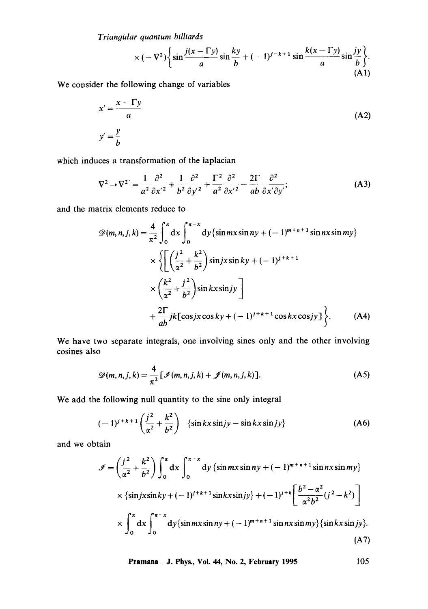$$
\times (-\nabla^2) \bigg\{ \sin \frac{j(x-\Gamma y)}{a} \sin \frac{ky}{b} + (-1)^{j-k+1} \sin \frac{k(x-\Gamma y)}{a} \sin \frac{jy}{b} \bigg\}.
$$
\n(A1)

We consider the following change of variables

$$
x' = \frac{x - \Gamma y}{a}
$$
  

$$
y' = \frac{y}{b}
$$
 (A2)

which induces a transformation of the laplacian

$$
\nabla^2 \to \nabla^{2'} = \frac{1}{a^2} \frac{\partial^2}{\partial x'^2} + \frac{1}{b^2} \frac{\partial^2}{\partial y'^2} + \frac{\Gamma^2}{a^2} \frac{\partial^2}{\partial x'^2} - \frac{2\Gamma}{ab} \frac{\partial^2}{\partial x' \partial y'}; \tag{A3}
$$

and the matrix elements reduce to

$$
\mathcal{D}(m, n, j, k) = \frac{4}{\pi^2} \int_0^{\pi} dx \int_0^{\pi - x} dy \{ \sin mx \sin ny + (-1)^{m+n+1} \sin nx \sin my \}
$$
  
 
$$
\times \left\{ \left[ \left( \frac{j^2}{\alpha^2} + \frac{k^2}{b^2} \right) \sin jx \sin ky + (-1)^{j+k+1} \right. \right.\times \left. \left( \frac{k^2}{\alpha^2} + \frac{j^2}{b^2} \right) \sin kx \sin jy \right] + \frac{2\Gamma}{ab} jk [\cos jx \cos ky + (-1)^{j+k+1} \cos kx \cos jy] \right\}. \tag{A4}
$$

We have two separate integrals, one involving sines only and the other involving cosines also

$$
\mathscr{D}(m,n,j,k) = \frac{4}{\pi^2} \left[ \mathscr{I}(m,n,j,k) + \mathscr{J}(m,n,j,k) \right]. \tag{A5}
$$

We add the following null quantity to the sine only integral

$$
(-1)^{j+k+1}\left(\frac{j^2}{\alpha^2}+\frac{k^2}{b^2}\right) \quad \{\sin kx\sin jy-\sin kx\sin jy\} \tag{A6}
$$

and we obtain

$$
\mathcal{J} = \left(\frac{j^2}{\alpha^2} + \frac{k^2}{b^2}\right) \int_0^{\pi} dx \int_0^{\pi - x} dy \left\{ \sin mx \sin ny + (-1)^{m+n+1} \sin nx \sin my \right\}
$$
  
×  $\left\{ \sin jx \sin ky + (-1)^{j+k+1} \sin kx \sin jy \right\} + (-1)^{j+k} \left[ \frac{b^2 - \alpha^2}{\alpha^2 b^2} (j^2 - k^2) \right]$   
×  $\int_0^{\pi} dx \int_0^{\pi - x} dy \left\{ \sin mx \sin ny + (-1)^{m+n+1} \sin nx \sin my \right\} \left\{ \sin kx \sin jy \right\}. \tag{A7}$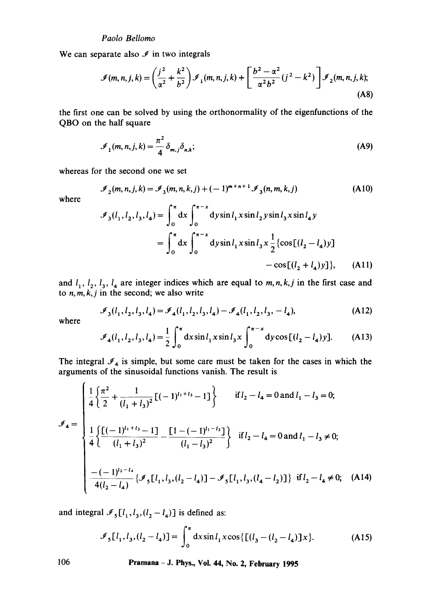We can separate also  $\mathcal I$  in two integrals

$$
\mathcal{I}(m,n,j,k) = \left(\frac{j^2}{\alpha^2} + \frac{k^2}{b^2}\right)\mathcal{I}_1(m,n,j,k) + \left[\frac{b^2 - \alpha^2}{\alpha^2 b^2}(j^2 - k^2)\right]\mathcal{I}_2(m,n,j,k);
$$
\n(A8)

the first one can be solved by using the orthonormality of the eigenfunctions of the QBO on the half square

$$
\mathcal{I}_1(m,n,j,k) = \frac{\pi^2}{4} \delta_{m,j} \delta_{n,k};
$$
\n(A9)

whereas for the second one we set

$$
\mathcal{I}_2(m, n, j, k) = \mathcal{I}_3(m, n, k, j) + (-1)^{m+n+1} \mathcal{I}_3(n, m, k, j)
$$
 (A10)

where

$$
\mathcal{I}_3(l_1, l_2, l_3, l_4) = \int_0^{\pi} dx \int_0^{\pi - x} dy \sin l_1 x \sin l_2 y \sin l_3 x \sin l_4 y
$$
  
= 
$$
\int_0^{\pi} dx \int_0^{\pi - x} dy \sin l_1 x \sin l_3 x \frac{1}{2} {\cos[(l_2 - l_4)y]}
$$
  
- 
$$
\cos[(l_2 + l_4)y]}
$$
, (A11)

and  $l_1$ ,  $l_2$ ,  $l_3$ ,  $l_4$  are integer indices which are equal to *m*, *n*, *k*, *j* in the first case and to *n,m,k,j* in the second; we also write

$$
\mathcal{I}_3(l_1, l_2, l_3, l_4) = \mathcal{I}_4(l_1, l_2, l_3, l_4) - \mathcal{I}_4(l_1, l_2, l_3, -l_4),\tag{A12}
$$

where

$$
\mathcal{I}_4(l_1, l_2, l_3, l_4) = \frac{1}{2} \int_0^{\pi} dx \sin l_1 x \sin l_3 x \int_0^{\pi - x} dy \cos [(l_2 - l_4)y].
$$
 (A13)

The integral  $\mathcal{I}_4$  is simple, but some care must be taken for the cases in which the arguments of the sinusoidal functions vanish. The result is

$$
\mathcal{I}_4 = \begin{cases}\n\frac{1}{4} \left\{ \frac{\pi^2}{2} + \frac{1}{(l_1 + l_3)^2} \left[ (-1)^{l_1 + l_3} - 1 \right] \right\} & \text{if } l_2 - l_4 = 0 \text{ and } l_1 - l_3 = 0; \\
\frac{1}{4} \left\{ \frac{\left[ (-1)^{l_1 + l_3} - 1 \right]}{(l_1 + l_3)^2} - \frac{\left[ 1 - (-1)^{l_1 - l_3} \right]}{(l_1 - l_3)^2} \right\} & \text{if } l_2 - l_4 = 0 \text{ and } l_1 - l_3 \neq 0; \\
-\frac{(-1)^{l_2 - l_4}}{4(l_2 - l_4)} \left\{ \mathcal{I}_5 \left[ l_1, l_3, (l_2 - l_4) \right] - \mathcal{I}_5 \left[ l_1, l_3, (l_4 - l_2) \right] \right\} & \text{if } l_2 - l_4 \neq 0; \quad \text{(A14)}\n\end{cases}
$$

and integral  $\mathcal{I}_5[l_1, l_3, (l_2 - l_4)]$  is defined as:

$$
\mathcal{I}_5[l_1, l_3, (l_2 - l_4)] = \int_0^\pi dx \sin l_1 x \cos \{[(l_3 - (l_2 - l_4)]x\}.
$$
 (A15)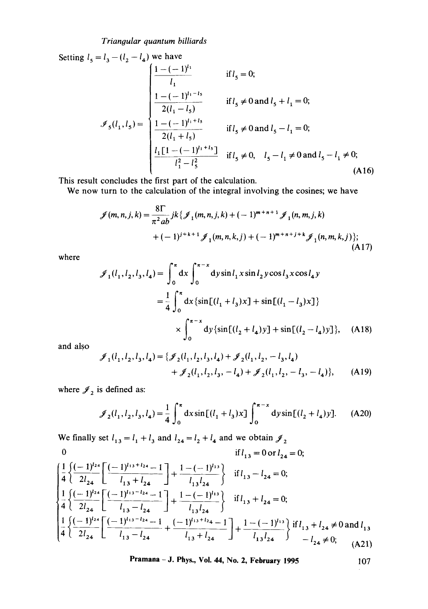Setting 
$$
l_5 = l_3 - (l_2 - l_4)
$$
 we have  
\n
$$
\mathcal{J}_1
$$
\nif  $l_5 = 0$ ;\n
$$
\mathcal{J}_2(l_1, l_5) = \begin{cases}\n\frac{1 - (-1)^{l_1 - l_5}}{l_1} & \text{if } l_5 = 0; \\
\frac{1 - (-1)^{l_1 - l_5}}{2(l_1 - l_5)} & \text{if } l_5 \neq 0 \text{ and } l_5 + l_1 = 0; \\
\frac{1 - (-1)^{l_1 + l_5}}{2(l_1 + l_5)} & \text{if } l_5 \neq 0 \text{ and } l_5 - l_1 = 0; \\
\frac{l_1 [1 - (-1)^{l_1 + l_5}]}{l_1^2 - l_5^2} & \text{if } l_5 \neq 0, \quad l_5 - l_1 \neq 0 \text{ and } l_5 - l_1 \neq 0; \\
\end{cases}
$$
\n(A16)

This result concludes the first part of the calculation.

We now turn to the calculation of the integral involving the cosines; we have

$$
\mathcal{J}(m,n,j,k) = \frac{8\Gamma}{\pi^2 ab} jk \{ \mathcal{J}_1(m,n,j,k) + (-1)^{m+n+1} \mathcal{J}_1(n,m,j,k) + (-1)^{j+k+1} \mathcal{J}_1(m,n,k,j) + (-1)^{m+n+j+k} \mathcal{J}_1(n,m,k,j) \};
$$
\n(A17)

where

$$
\mathcal{J}_1(l_1, l_2, l_3, l_4) = \int_0^{\pi} dx \int_0^{\pi - x} dy \sin l_1 x \sin l_2 y \cos l_3 x \cos l_4 y
$$
  
=  $\frac{1}{4} \int_0^{\pi} dx \{ \sin[(l_1 + l_3)x] + \sin[(l_1 - l_3)x] \}$   
 $\times \int_0^{\pi - x} dy \{ \sin[(l_2 + l_4)y] + \sin[(l_2 - l_4)y] \}, \quad (A18)$ 

and also

$$
\mathcal{J}_1(l_1, l_2, l_3, l_4) = \{ \mathcal{J}_2(l_1, l_2, l_3, l_4) + \mathcal{J}_2(l_1, l_2, -l_3, l_4) + \mathcal{J}_2(l_1, l_2, l_3, -l_4) + \mathcal{J}_2(l_1, l_2, -l_3, -l_4) \},
$$
 (A19)

where  $\mathcal{J}_2$  is defined as:

$$
\mathcal{J}_2(l_1, l_2, l_3, l_4) = \frac{1}{4} \int_0^{\pi} dx \sin[(l_1 + l_3)x] \int_0^{\pi - x} dy \sin[(l_2 + l_4)y].
$$
 (A20)

We finally set  $l_{13} = l_1 + l_3$  and  $l_{24} = l_2 + l_4$  and we obtain  $\mathscr{J}_2$ 

$$
\begin{aligned}\n\mathbf{1}_{l_{13}} &= 0 \text{ or } l_{24} = 0; \\
\frac{1}{4} \left\{ \frac{(-1)^{l_{24}}}{2l_{24}} \left[ \frac{(-1)^{l_{13}+l_{24}} - 1}{l_{13}+l_{24}} \right] + \frac{1 - (-1)^{l_{13}}}{l_{13}l_{24}} \right\} &\quad \text{if } l_{13} - l_{24} = 0; \\
\frac{1}{4} \left\{ \frac{(-1)^{l_{24}}}{2l_{24}} \left[ \frac{(-1)^{l_{13}-l_{24}} - 1}{l_{13}-l_{24}} \right] + \frac{1 - (-1)^{l_{13}}}{l_{13}l_{24}} \right\} &\quad \text{if } l_{13} + l_{24} = 0; \\
\frac{1}{4} \left\{ \frac{(-1)^{l_{24}}}{2l_{24}} \left[ \frac{(-1)^{l_{13}-l_{24}} - 1}{l_{13}-l_{24}} + \frac{(-1)^{l_{13}+l_{24}} - 1}{l_{13}+l_{24}} \right] + \frac{1 - (-1)^{l_{13}}}{l_{13}l_{24}} \right\} &\quad \text{if } l_{13} + l_{24} \neq 0 \text{ and } l_{13} \\
-\frac{1}{24} &= 0; \\
\frac{1}{4} \left\{ \frac{(-1)^{l_{24}}}{2l_{24}} \left[ \frac{(-1)^{l_{13}-l_{24}} - 1}{l_{13}-l_{24}} + \frac{(-1)^{l_{13}+l_{24}} - 1}{l_{13}+l_{24}} \right] + \frac{1 - (-1)^{l_{13}}}{l_{13}l_{24}} \right\} &\quad \text{if } l_{13} + l_{24} \neq 0 \text{ and } l_{13} \\
-\frac{1}{24} &= 0; \\
\end{aligned}
$$